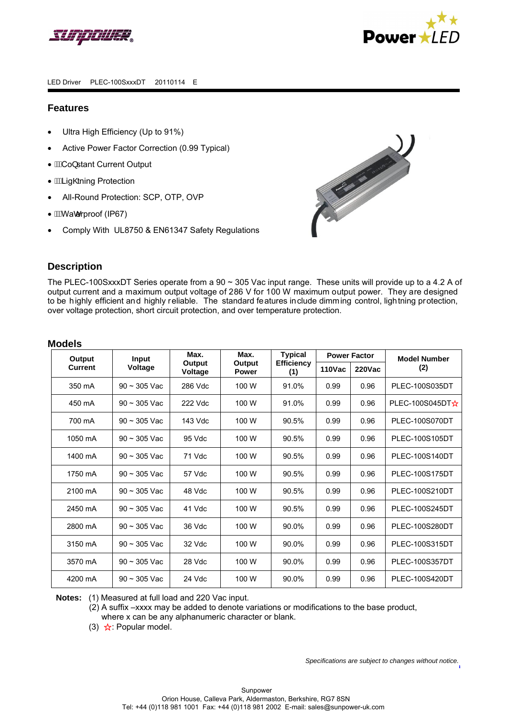



## **Features**

- Ultra High Efficiency (Up to 91%)
- Active Power Factor Correction (0.99 Typical)
- $\hat{A}$ Co} stant Current Output
- *MALig@ning Protection*
- All-Round Protection: SCP, OTP, OVP
- *WAWacerproof (IP67)*
- Comply With UL8750 & EN61347 Safety Regulations



# **Description**

The PLEC-100SxxxDT Series operate from a 90 ~ 305 Vac input range. These units will provide up to a 4.2 A of output current and a maximum output voltage of 286 V for 100 W maximum output power. They are designed to be highly efficient and highly reliable. The standard features include dimming control, lightning protection, over voltage protection, short circuit protection, and over temperature protection.

## **Models**

| Output         | Input             | Max.              | Max.                   | <b>Typical</b>           | <b>Power Factor</b> |               | <b>Model Number</b>               |
|----------------|-------------------|-------------------|------------------------|--------------------------|---------------------|---------------|-----------------------------------|
| <b>Current</b> | Voltage           | Output<br>Voltage | Output<br><b>Power</b> | <b>Efficiency</b><br>(1) | <b>110Vac</b>       | <b>220Vac</b> | (2)                               |
| 350 mA         | $90 \sim 305$ Vac | 286 Vdc           | 100 W                  | 91.0%                    | 0.99                | 0.96          | PLEC-100S035DT                    |
| 450 mA         | $90 \sim 305$ Vac | 222 Vdc           | 100 W                  | 91.0%                    | 0.99                | 0.96          | PLEC-100S045DT $\mathbf{\hat{x}}$ |
| 700 mA         | $90 \sim 305$ Vac | 143 Vdc           | 100 W                  | 90.5%                    | 0.99                | 0.96          | <b>PLEC-100S070DT</b>             |
| 1050 mA        | $90 \sim 305$ Vac | 95 Vdc            | 100 W                  | 90.5%                    | 0.99                | 0.96          | PLEC-100S105DT                    |
| 1400 mA        | $90 - 305$ Vac    | 71 Vdc            | 100 W                  | 90.5%                    | 0.99                | 0.96          | PLEC-100S140DT                    |
| 1750 mA        | $90 - 305$ Vac    | 57 Vdc            | 100 W                  | 90.5%                    | 0.99                | 0.96          | PLEC-100S175DT                    |
| 2100 mA        | $90 - 305$ Vac    | 48 Vdc            | 100 W                  | 90.5%                    | 0.99                | 0.96          | PLEC-100S210DT                    |
| 2450 mA        | $90 - 305$ Vac    | 41 Vdc            | 100 W                  | 90.5%                    | 0.99                | 0.96          | <b>PLEC-100S245DT</b>             |
| 2800 mA        | $90 \sim 305$ Vac | 36 Vdc            | 100 W                  | 90.0%                    | 0.99                | 0.96          | <b>PLEC-100S280DT</b>             |
| 3150 mA        | $90 - 305$ Vac    | 32 Vdc            | 100 W                  | 90.0%                    | 0.99                | 0.96          | PLEC-100S315DT                    |
| 3570 mA        | $90 - 305$ Vac    | 28 Vdc            | 100 W                  | 90.0%                    | 0.99                | 0.96          | <b>PLEC-100S357DT</b>             |
| 4200 mA        | $90 - 305$ Vac    | 24 Vdc            | 100 W                  | 90.0%                    | 0.99                | 0.96          | PLEC-100S420DT                    |

**Notes:** (1) Measured at full load and 220 Vac input.

(2) A suffix –xxxx may be added to denote variations or modifications to the base product, where x can be any alphanumeric character or blank.

(3)  $\mathbf{\hat{x}}$ : Popular model.

*Specifications are subject to changes without notice.*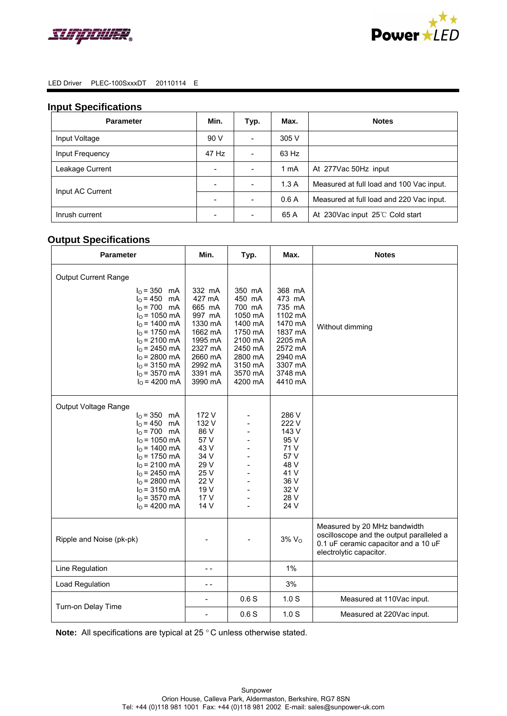



### **Input Specifications**

| <b>Parameter</b> | Min.                             | Typ.                     | Max.                                     | <b>Notes</b>                             |
|------------------|----------------------------------|--------------------------|------------------------------------------|------------------------------------------|
| Input Voltage    | 90 V                             | $\sim$                   | 305 V                                    |                                          |
| Input Frequency  | 47 Hz                            |                          | 63 Hz                                    |                                          |
| Leakage Current  | $\overline{\phantom{a}}$         | $\overline{\phantom{0}}$ | 1 mA                                     | At 277Vac 50Hz input                     |
| Input AC Current | 1.3A<br>$\overline{\phantom{a}}$ |                          | Measured at full load and 100 Vac input. |                                          |
|                  |                                  |                          | 0.6A                                     | Measured at full load and 220 Vac input. |
| Inrush current   |                                  |                          | 65 A                                     | At 230Vac input 25°C Cold start          |

# **Output Specifications**

| <b>Parameter</b>                                                                                                                                                                                                                                     | Min.                                                                                                                         | Typ.                                                                                                                          | Max.                                                                                                                          | <b>Notes</b>                                                                                                                                |
|------------------------------------------------------------------------------------------------------------------------------------------------------------------------------------------------------------------------------------------------------|------------------------------------------------------------------------------------------------------------------------------|-------------------------------------------------------------------------------------------------------------------------------|-------------------------------------------------------------------------------------------------------------------------------|---------------------------------------------------------------------------------------------------------------------------------------------|
| <b>Output Current Range</b><br>$IO = 350$ mA<br>$I_0 = 450$ mA<br>$I0 = 700$ mA<br>$IO$ = 1050 mA<br>$I_0$ = 1400 mA<br>$I0$ = 1750 mA<br>$I_0$ = 2100 mA<br>$I0$ = 2450 mA<br>$I_0$ = 2800 mA<br>$I0$ = 3150 mA<br>$I0$ = 3570 mA<br>$IO$ = 4200 mA | 332 mA<br>427 mA<br>665 mA<br>997 mA<br>1330 mA<br>1662 mA<br>1995 mA<br>2327 mA<br>2660 mA<br>2992 mA<br>3391 mA<br>3990 mA | 350 mA<br>450 mA<br>700 mA<br>1050 mA<br>1400 mA<br>1750 mA<br>2100 mA<br>2450 mA<br>2800 mA<br>3150 mA<br>3570 mA<br>4200 mA | 368 mA<br>473 mA<br>735 mA<br>1102 mA<br>1470 mA<br>1837 mA<br>2205 mA<br>2572 mA<br>2940 mA<br>3307 mA<br>3748 mA<br>4410 mA | Without dimming                                                                                                                             |
| Output Voltage Range<br>$I_0 = 350$ mA<br>$IO = 450$ mA<br>$I_0 = 700$ mA<br>$IO$ = 1050 mA<br>$IO$ = 1400 mA<br>$IO$ = 1750 mA<br>$I_0$ = 2100 mA<br>$I_0$ = 2450 mA<br>$I0$ = 2800 mA<br>$I_0$ = 3150 mA<br>$I0$ = 3570 mA<br>$I0$ = 4200 mA       | 172 V<br>132 V<br>86 V<br>57 V<br>43 V<br>34 V<br>29 V<br>25 V<br>22 V<br>19 V<br>17 V<br>14 V                               | ٠                                                                                                                             | 286 V<br>222 V<br>143 V<br>95 V<br>71 V<br>57 V<br>48 V<br>41 V<br>36 V<br>32 V<br>28 V<br>24 V                               |                                                                                                                                             |
| Ripple and Noise (pk-pk)                                                                                                                                                                                                                             |                                                                                                                              |                                                                                                                               | $3\%$ $VO$                                                                                                                    | Measured by 20 MHz bandwidth<br>oscilloscope and the output paralleled a<br>0.1 uF ceramic capacitor and a 10 uF<br>electrolytic capacitor. |
| Line Regulation                                                                                                                                                                                                                                      | - -                                                                                                                          |                                                                                                                               | 1%                                                                                                                            |                                                                                                                                             |
| Load Regulation                                                                                                                                                                                                                                      | - -                                                                                                                          |                                                                                                                               | 3%                                                                                                                            |                                                                                                                                             |
| Turn-on Delay Time                                                                                                                                                                                                                                   | $\blacksquare$                                                                                                               | 0.6S                                                                                                                          | 1.0 <sub>S</sub>                                                                                                              | Measured at 110Vac input.                                                                                                                   |
|                                                                                                                                                                                                                                                      | $\overline{\phantom{a}}$                                                                                                     | 0.6S                                                                                                                          | 1.0 <sub>S</sub>                                                                                                              | Measured at 220Vac input.                                                                                                                   |

**Note:** All specifications are typical at 25 ° C unless otherwise stated.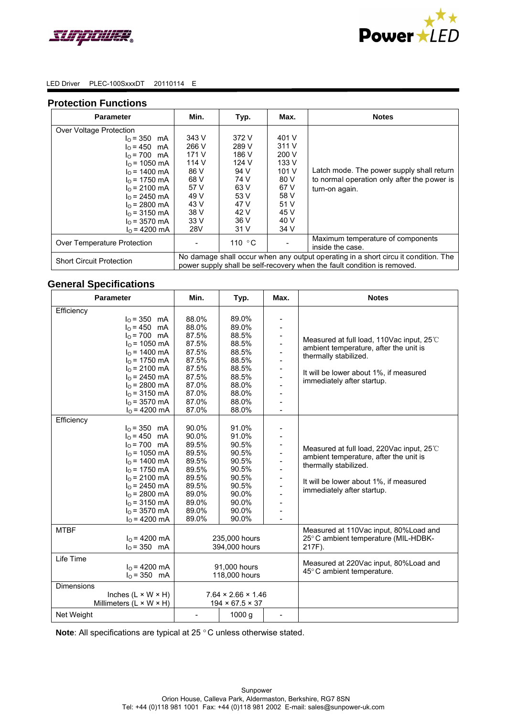



#### LED Driver PLEC-100SxxxDT 20110114 E

### **Protection Functions**

| <b>Parameter</b>                                                                                                                                                                                                                                        | Min.                                                                                                                                                           | Typ.                                                                                             | Max.                                                                                              | <b>Notes</b>                                                                                               |  |
|---------------------------------------------------------------------------------------------------------------------------------------------------------------------------------------------------------------------------------------------------------|----------------------------------------------------------------------------------------------------------------------------------------------------------------|--------------------------------------------------------------------------------------------------|---------------------------------------------------------------------------------------------------|------------------------------------------------------------------------------------------------------------|--|
| Over Voltage Protection<br>$I_0 = 350$ mA<br>$I_0 = 450$ mA<br>$I_0 = 700$ mA<br>$I_0$ = 1050 mA<br>$I_0$ = 1400 mA<br>$I_0$ = 1750 mA<br>$I_0$ = 2100 mA<br>$I_0$ = 2450 mA<br>$I_0$ = 2800 mA<br>$IO$ = 3150 mA<br>$I_0$ = 3570 mA<br>$I_0$ = 4200 mA | 343 V<br>266 V<br>171 V<br>114 V<br>86 V<br>68 V<br>57 V<br>49 V<br>43 V<br>38 V<br>33V<br>28V                                                                 | 372 V<br>289 V<br>186 V<br>124 V<br>94 V<br>74 V<br>63 V<br>53 V<br>47 V<br>42 V<br>36 V<br>31 V | 401 V<br>311 V<br>200 V<br>133 V<br>101 V<br>80 V<br>67 V<br>58 V<br>51 V<br>45 V<br>40 V<br>34 V | Latch mode. The power supply shall return<br>to normal operation only after the power is<br>turn-on again. |  |
| Over Temperature Protection                                                                                                                                                                                                                             | Maximum temperature of components<br>110 $\degree$ C<br>inside the case.                                                                                       |                                                                                                  |                                                                                                   |                                                                                                            |  |
| <b>Short Circuit Protection</b>                                                                                                                                                                                                                         | No damage shall occur when any output operating in a short circu it condition. The<br>power supply shall be self-recovery when the fault condition is removed. |                                                                                                  |                                                                                                   |                                                                                                            |  |

# **General Specifications**

| <b>Parameter</b>                                                                                                                                                                                                                      | Min.                                                                                                     | Typ.                                                                                                     | Max. | <b>Notes</b>                                                                                                                                                                         |
|---------------------------------------------------------------------------------------------------------------------------------------------------------------------------------------------------------------------------------------|----------------------------------------------------------------------------------------------------------|----------------------------------------------------------------------------------------------------------|------|--------------------------------------------------------------------------------------------------------------------------------------------------------------------------------------|
| Efficiency<br>$I_0 = 350$ mA<br>$I_0 = 450$ mA<br>$IO = 700$ mA<br>$IO$ = 1050 mA<br>$I0$ = 1400 mA<br>$I0$ = 1750 mA<br>$I_0$ = 2100 mA<br>$IO$ = 2450 mA<br>$I0$ = 2800 mA<br>$I_0$ = 3150 mA<br>$I_0$ = 3570 mA<br>$I_0$ = 4200 mA | 88.0%<br>88.0%<br>87.5%<br>87.5%<br>87.5%<br>87.5%<br>87.5%<br>87.5%<br>87.0%<br>87.0%<br>87.0%<br>87.0% | 89.0%<br>89.0%<br>88.5%<br>88.5%<br>88.5%<br>88.5%<br>88.5%<br>88.5%<br>88.0%<br>88.0%<br>88.0%<br>88.0% |      | Measured at full load, 110Vac input, 25°C<br>ambient temperature, after the unit is<br>thermally stabilized.<br>It will be lower about 1%, if measured<br>immediately after startup. |
| Efficiency<br>$I_0 = 350$ mA<br>$I_0 = 450$ mA<br>$I_0 = 700$ mA<br>$IO$ = 1050 mA<br>$IO$ = 1400 mA<br>$IO$ = 1750 mA<br>$I_0$ = 2100 mA<br>$I0$ = 2450 mA<br>$I0$ = 2800 mA<br>$I0$ = 3150 mA<br>$I_0$ = 3570 mA<br>$IO$ = 4200 mA  | 90.0%<br>90.0%<br>89.5%<br>89.5%<br>89.5%<br>89.5%<br>89.5%<br>89.5%<br>89.0%<br>89.0%<br>89.0%<br>89.0% | 91.0%<br>91.0%<br>90.5%<br>90.5%<br>90.5%<br>90.5%<br>90.5%<br>90.5%<br>90.0%<br>90.0%<br>90.0%<br>90.0% |      | Measured at full load, 220Vac input, 25°C<br>ambient temperature, after the unit is<br>thermally stabilized.<br>It will be lower about 1%, if measured<br>immediately after startup. |
| <b>MTBF</b><br>$I0 = 4200 mA$<br>$I_0 = 350$ mA                                                                                                                                                                                       | 235,000 hours<br>394,000 hours                                                                           |                                                                                                          |      | Measured at 110Vac input, 80%Load and<br>25°C ambient temperature (MIL-HDBK-<br>217F).                                                                                               |
| Life Time<br>$I_0$ = 4200 mA<br>$I_0 = 350$ mA                                                                                                                                                                                        | 91,000 hours<br>118,000 hours                                                                            |                                                                                                          |      | Measured at 220Vac input, 80%Load and<br>45°C ambient temperature.                                                                                                                   |
| <b>Dimensions</b><br>Inches $(L \times W \times H)$<br>Millimeters $(L \times W \times H)$<br>Net Weight                                                                                                                              | $7.64 \times 2.66 \times 1.46$<br>$194 \times 67.5 \times 37$<br>1000 g<br>$\qquad \qquad \blacksquare$  |                                                                                                          |      |                                                                                                                                                                                      |

**Note**: All specifications are typical at 25 ° C unless otherwise stated.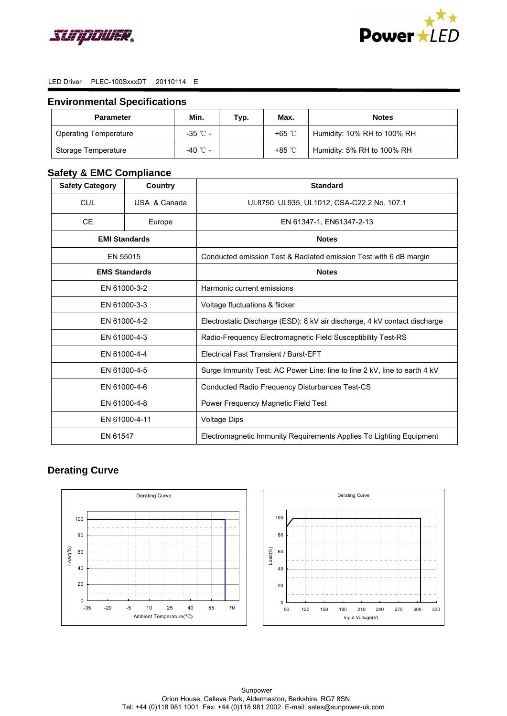



## **Environmental Specifications**

| <b>Parameter</b>             | Min.       | Typ. | Max.  | <b>Notes</b>                |
|------------------------------|------------|------|-------|-----------------------------|
| <b>Operating Temperature</b> | $-35$ °C - |      | +65 ℃ | Humidity: 10% RH to 100% RH |
| Storage Temperature          | -40 °C -   |      | +85 ℃ | Humidity: 5% RH to 100% RH  |

# **Safety & EMC Compliance**

| <b>Safety Category</b> | Country      | <b>Standard</b>                                                           |  |  |  |
|------------------------|--------------|---------------------------------------------------------------------------|--|--|--|
| <b>CUL</b>             | USA & Canada | UL8750, UL935, UL1012, CSA-C22.2 No. 107.1                                |  |  |  |
| <b>CE</b>              | Europe       | EN 61347-1, EN61347-2-13                                                  |  |  |  |
| <b>EMI Standards</b>   |              | <b>Notes</b>                                                              |  |  |  |
|                        | EN 55015     | Conducted emission Test & Radiated emission Test with 6 dB margin         |  |  |  |
| <b>EMS Standards</b>   |              | <b>Notes</b>                                                              |  |  |  |
| EN 61000-3-2           |              | Harmonic current emissions                                                |  |  |  |
| EN 61000-3-3           |              | Voltage fluctuations & flicker                                            |  |  |  |
| EN 61000-4-2           |              | Electrostatic Discharge (ESD): 8 kV air discharge, 4 kV contact discharge |  |  |  |
| EN 61000-4-3           |              | Radio-Frequency Electromagnetic Field Susceptibility Test-RS              |  |  |  |
| EN 61000-4-4           |              | <b>Electrical Fast Transient / Burst-EFT</b>                              |  |  |  |
| EN 61000-4-5           |              | Surge Immunity Test: AC Power Line: line to line 2 kV, line to earth 4 kV |  |  |  |
| EN 61000-4-6           |              | Conducted Radio Frequency Disturbances Test-CS                            |  |  |  |
| EN 61000-4-8           |              | Power Frequency Magnetic Field Test                                       |  |  |  |
| EN 61000-4-11          |              | <b>Voltage Dips</b>                                                       |  |  |  |
| EN 61547               |              | Electromagnetic Immunity Requirements Applies To Lighting Equipment       |  |  |  |

# **Derating Curve**



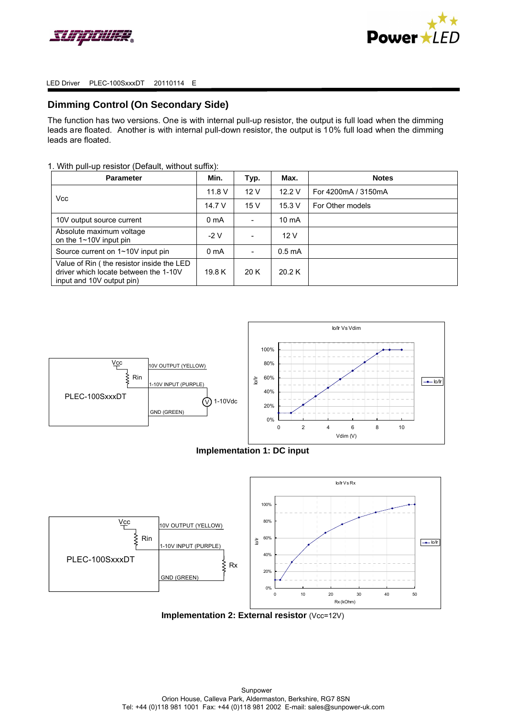



## **Dimming Control (On Secondary Side)**

The function has two versions. One is with internal pull-up resistor, the output is full load when the dimming leads are floated. Another is with internal pull-down resistor, the output is 10% full load when the dimming leads are floated.

### 1. With pull-up resistor (Default, without suffix):

| <b>Parameter</b>                                                                                                | Min.             | Typ. | Max.               | <b>Notes</b>        |
|-----------------------------------------------------------------------------------------------------------------|------------------|------|--------------------|---------------------|
| <b>Vcc</b>                                                                                                      | 11.8V            | 12V  | 12.2V              | For 4200mA / 3150mA |
|                                                                                                                 | 14.7 V           | 15V  | 15.3 V             | For Other models    |
| 10V output source current                                                                                       | 0 <sub>m</sub> A |      | $10 \text{ mA}$    |                     |
| Absolute maximum voltage<br>on the $1 \sim 10V$ input pin                                                       | -2 V             |      | 12 V               |                     |
| Source current on 1~10V input pin                                                                               | 0 <sub>m</sub> A |      | 0.5 <sub>m</sub> A |                     |
| Value of Rin (the resistor inside the LED<br>driver which locate between the 1-10V<br>input and 10V output pin) | 19.8 K           | 20 K | 20.2 K             |                     |



### **Implementation 1: DC input**



**Implementation 2: External resistor** (Vcc=12V)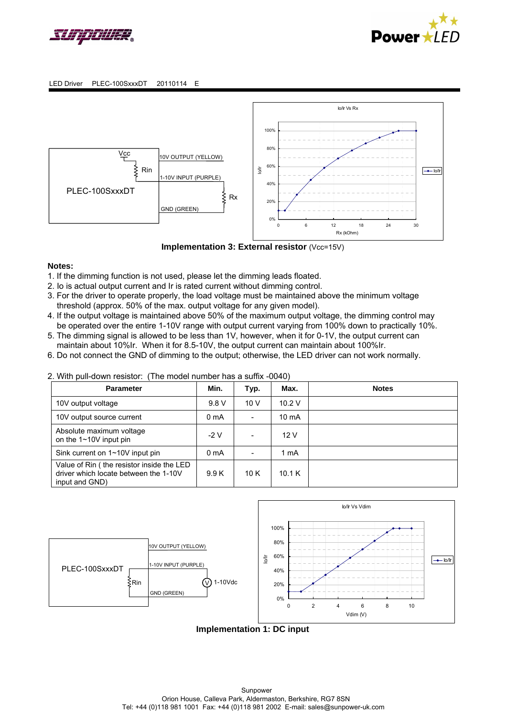





**Implementation 3: External resistor** (Vcc=15V)

### **Notes:**

- 1. If the dimming function is not used, please let the dimming leads floated.
- 2. Io is actual output current and Ir is rated current without dimming control.
- 3. For the driver to operate properly, the load voltage must be maintained above the minimum voltage threshold (approx. 50% of the max. output voltage for any given model).
- 4. If the output voltage is maintained above 50% of the maximum output voltage, the dimming control may be operated over the entire 1-10V range with output current varying from 100% down to practically 10%.
- 5. The dimming signal is allowed to be less than 1V, however, when it for 0-1V, the output current can maintain about 10%Ir. When it for 8.5-10V, the output current can maintain about 100%Ir.
- 6. Do not connect the GND of dimming to the output; otherwise, the LED driver can not work normally.

## 2. With pull-down resistor: (The model number has a suffix -0040)

| <b>Parameter</b>                                                                                     | Min.             | Typ.                     | Max.            | <b>Notes</b> |
|------------------------------------------------------------------------------------------------------|------------------|--------------------------|-----------------|--------------|
| 10V output voltage                                                                                   | 9.8 V            | 10V                      | 10.2V           |              |
| 10V output source current                                                                            | 0 <sub>m</sub> A |                          | $10 \text{ mA}$ |              |
| Absolute maximum voltage<br>on the $1 \sim 10V$ input pin                                            | $-2V$            | $\overline{\phantom{a}}$ | 12V             |              |
| Sink current on 1~10V input pin                                                                      | 0 <sub>m</sub> A |                          | 1 mA            |              |
| Value of Rin (the resistor inside the LED<br>driver which locate between the 1-10V<br>input and GND) | 9.9K             | 10K                      | 10.1K           |              |



# **Implementation 1: DC input**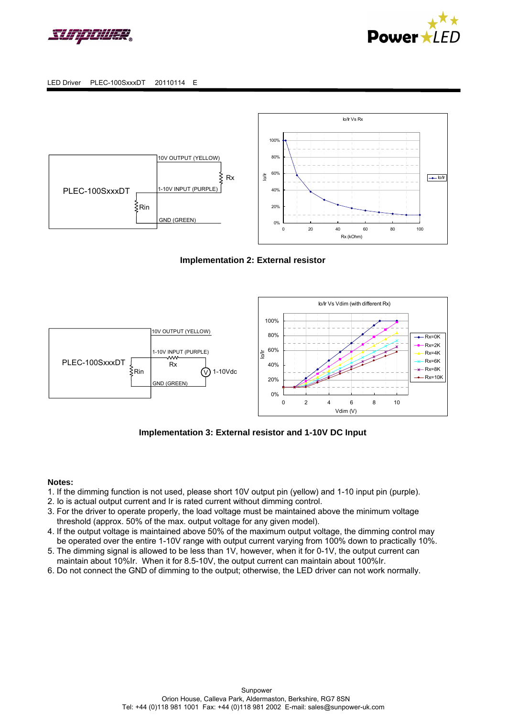









## **Implementation 3: External resistor and 1-10V DC Input**

### **Notes:**

- 1. If the dimming function is not used, please short 10V output pin (yellow) and 1-10 input pin (purple).
- 2. Io is actual output current and Ir is rated current without dimming control.
- 3. For the driver to operate properly, the load voltage must be maintained above the minimum voltage threshold (approx. 50% of the max. output voltage for any given model).
- 4. If the output voltage is maintained above 50% of the maximum output voltage, the dimming control may be operated over the entire 1-10V range with output current varying from 100% down to practically 10%.
- 5. The dimming signal is allowed to be less than 1V, however, when it for 0-1V, the output current can maintain about 10%Ir. When it for 8.5-10V, the output current can maintain about 100%Ir.
- 6. Do not connect the GND of dimming to the output; otherwise, the LED driver can not work normally.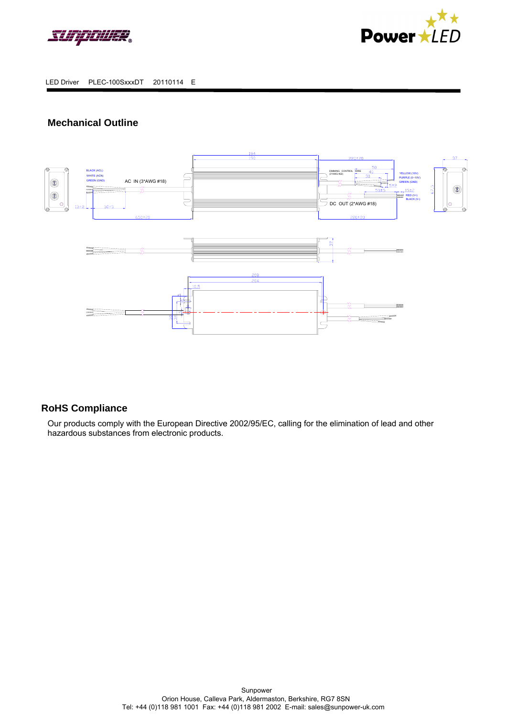



# **Mechanical Outline**



# **RoHS Compliance**

Our products comply with the European Directive 2002/95/EC, calling for the elimination of lead and other hazardous substances from electronic products.